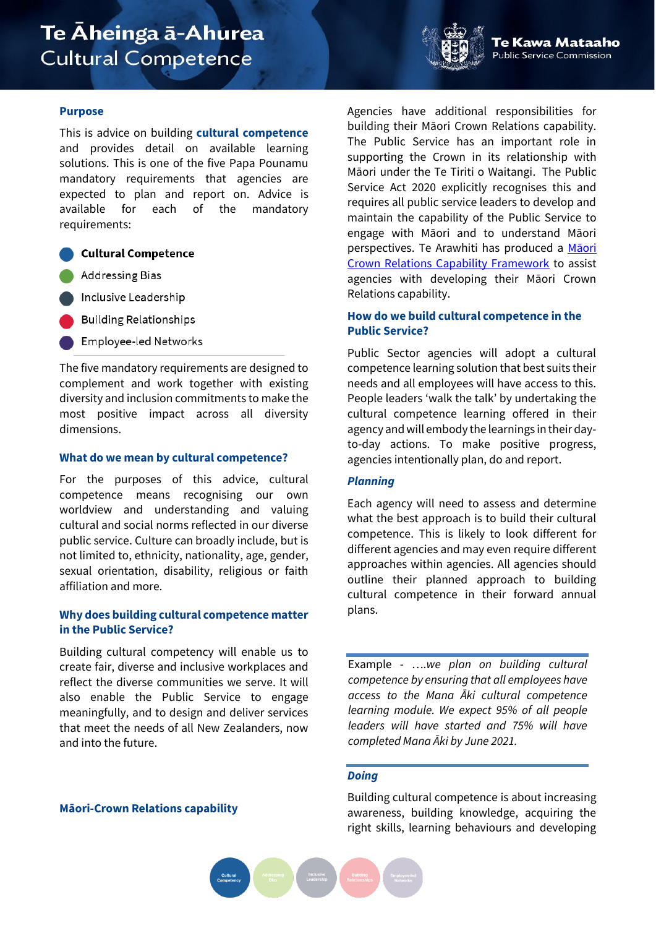# Te Āheinga ā-Ahurea **Cultural Competence**

# **Purpose**

This is advice on building **cultural competence** and provides detail on available learning solutions. This is one of the five Papa Pounamu mandatory requirements that agencies are expected to plan and report on. Advice is available for each of the mandatory requirements:

# **Cultural Competence**

- **Addressing Bias**
- Inclusive Leadership
- **Building Relationships**
- **Employee-led Networks**

The five mandatory requirements are designed to complement and work together with existing diversity and inclusion commitments to make the most positive impact across all diversity dimensions.

## **What do we mean by cultural competence?**

For the purposes of this advice, cultural competence means recognising our own worldview and understanding and valuing cultural and social norms reflected in our diverse public service. Culture can broadly include, but is not limited to, ethnicity, nationality, age, gender, sexual orientation, disability, religious or faith affiliation and more.

# **Why does building cultural competence matter in the Public Service?**

Building cultural competency will enable us to create fair, diverse and inclusive workplaces and reflect the diverse communities we serve. It will also enable the Public Service to engage meaningfully, and to design and deliver services that meet the needs of all New Zealanders, now and into the future.

## **Māori-Crown Relations capability**

Agencies have additional responsibilities for building their Māori Crown Relations capability. The Public Service has an important role in supporting the Crown in its relationship with Māori under the Te Tiriti o Waitangi. The Public Service Act 2020 explicitly recognises this and requires all public service leaders to develop and maintain the capability of the Public Service to engage with Māori and to understand Māori perspectives. Te Arawhiti has produced a M[āori](https://www.tearawhiti.govt.nz/tools-and-resources/public-sector-maori-crown-relations-capability/)  [Crown Relations Capability Framework](https://www.tearawhiti.govt.nz/tools-and-resources/public-sector-maori-crown-relations-capability/) to assist agencies with developing their Māori Crown Relations capability.

# **How do we build cultural competence in the Public Service?**

Public Sector agencies will adopt a cultural competence learning solution that best suits their needs and all employees will have access to this. People leaders 'walk the talk' by undertaking the cultural competence learning offered in their agency and will embody the learnings in their dayto-day actions. To make positive progress, agencies intentionally plan, do and report.

## *Planning*

Each agency will need to assess and determine what the best approach is to build their cultural competence. This is likely to look different for different agencies and may even require different approaches within agencies. All agencies should outline their planned approach to building cultural competence in their forward annual plans.

Example - ….*we plan on building cultural competence by ensuring that all employees have access to the Mana Āki cultural competence learning module. We expect 95% of all people leaders will have started and 75% will have completed Mana Āki by June 2021.*

# *Doing*

Building cultural competence is about increasing awareness, building knowledge, acquiring the right skills, learning behaviours and developing